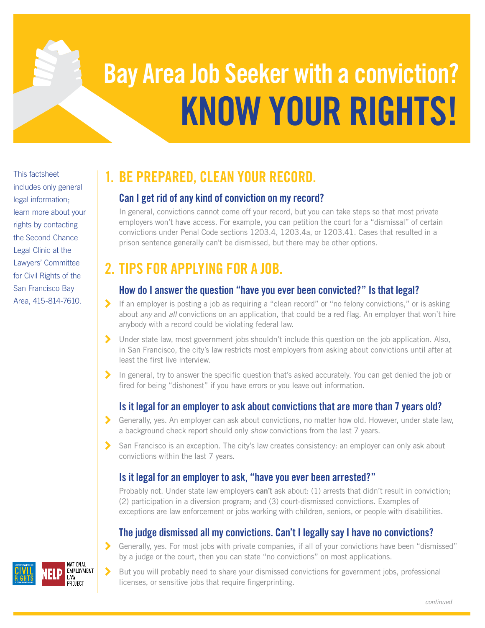# **KNOW YOUR RIGHTS! Bay Area Job Seeker with a conviction?**

This factsheet includes only general legal information; learn more about your rights by contacting the Second Chance Legal Clinic at the Lawyers' Committee for Civil Rights of the San Francisco Bay Area, 415-814-7610.

# **1. BE PREPARED, CLEAN YOUR RECORD.**

#### **Can I get rid of any kind of conviction on my record?**

In general, convictions cannot come off your record, but you can take steps so that most private employers won't have access. For example, you can petition the court for a "dismissal" of certain convictions under Penal Code sections 1203.4, 1203.4a, or 1203.41. Cases that resulted in a prison sentence generally can't be dismissed, but there may be other options.

# **2. TIPS FOR APPLYING FOR A JOB.**

#### **How do I answer the question "have you ever been convicted?" Is that legal?**

- 7 If an employer is posting a job as requiring a "clean record" or "no felony convictions," or is asking about *any* and *all* convictions on an application, that could be a red flag. An employer that won't hire anybody with a record could be violating federal law.
- > Under state law, most government jobs shouldn't include this question on the job application. Also, in San Francisco, the city's law restricts most employers from asking about convictions until after at least the first live interview.
- 7 In general, try to answer the specific question that's asked accurately. You can get denied the job or fired for being "dishonest" if you have errors or you leave out information.

## **Is it legal for an employer to ask about convictions that are more than 7 years old?**

- 7 Generally, yes. An employer can ask about convictions, no matter how old. However, under state law, a background check report should only show convictions from the last 7 years.
- $\blacktriangleright$  San Francisco is an exception. The city's law creates consistency: an employer can only ask about convictions within the last 7 years.

### **Is it legal for an employer to ask, "have you ever been arrested?"**

Probably not. Under state law employers **can't** ask about: (1) arrests that didn't result in conviction; (2) participation in a diversion program; and (3) court-dismissed convictions. Examples of exceptions are law enforcement or jobs working with children, seniors, or people with disabilities.

## **The judge dismissed all my convictions. Can't I legally say I have no convictions?**

7 Generally, yes. For most jobs with private companies, if all of your convictions have been "dismissed" by a judge or the court, then you can state "no convictions" on most applications.

7 But you will probably need to share your dismissed convictions for government jobs, professional licenses, or sensitive jobs that require fingerprinting.